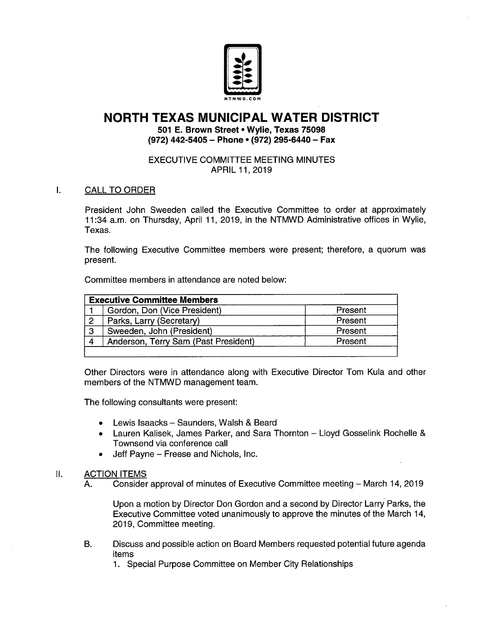

# NORTH TEXAS MUNICIPAL WATER DISTRICT

501 E. Brown Street• Wylie, Texas 75098 (972) 442-5405 - Phone • (972) 295-6440 - Fax

# EXECUTIVE COMMITTEE MEETING MINUTES APRIL 11, 2019

 $\mathbf{L}$ CALL TO ORDER

> President John Sweeden called the Executive Committee to order at approximately 11: 34 a. m. on Thursday, April 11, 2019, in the NTMWD Administrative offices in Wylie, Texas.

> The following Executive Committee members were present; therefore, a quorum was present.

Committee members in attendance are noted below:

| <b>Executive Committee Members</b> |                                      |         |
|------------------------------------|--------------------------------------|---------|
|                                    | Gordon, Don (Vice President)         | Present |
| $\overline{2}$                     | Parks, Larry (Secretary)             | Present |
| $\mathbf{3}$                       | Sweeden, John (President)            | Present |
|                                    | Anderson, Terry Sam (Past President) | Present |
|                                    |                                      |         |

Other Directors were in attendance along with Executive Director Tom Kula and other members of the NTMWD management team.

The following consultants were present:

- Lewis lsaacks— Saunders, Walsh & Beard
- Lauren Kalisek, James Parker, and Sara Thornton Lloyd Gosselink Rochelle & Townsend via conference call
- Jeff Payne Freese and Nichols, Inc.

# II. **ACTION ITEMS**

A. Consider approval of minutes of Executive Committee meeting — March 14, 2019

Upon a motion by Director Don Gordon and a second by Director Larry Parks, the Executive Committee voted unanimously to approve the minutes of the March 14, 2019, Committee meeting.

B. Discuss and possible action on Board Members requested potential future agenda items

1. Special Purpose Committee on Member City Relationships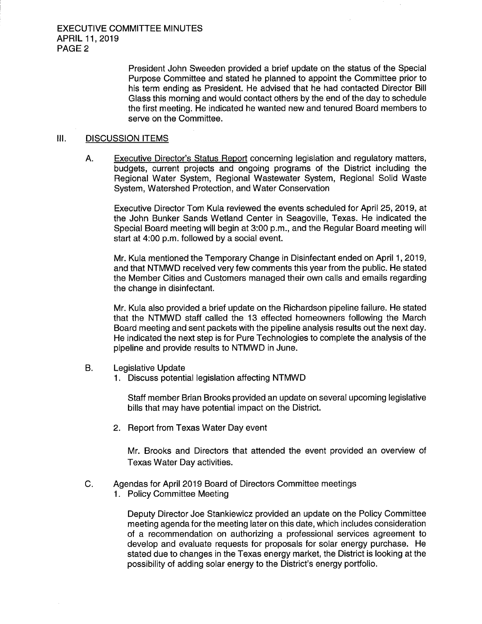President John Sweeden provided a brief update on the status of the Special Purpose Committee and stated he planned to appoint the Committee prior to his term ending as President. He advised that he had contacted Director Bill Glass this morning and would contact others by the end of the day to schedule the first meeting. He indicated he wanted new and tenured Board members to serve on the Committee.

#### III. DISCUSSION ITEMS

A. Executive Director's Status Report concerning legislation and regulatory matters, budgets, current projects and ongoing programs of the District including the Regional Water System, Regional Wastewater System, Regional Solid Waste System, Watershed Protection, and Water Conservation

Executive Director Tom Kula reviewed the events scheduled for April 25, 2019, at the John Bunker Sands Wetland Center in Seagoville, Texas. He indicated the Special Board meeting will begin at 3: 00 p. m., and the Regular Board meeting will start at 4:00 p.m. followed by a social event.

Mr. Kula mentioned the Temporary Change in Disinfectant ended on April 1, 2019, and that NTMWD received very few comments this year from the public. He stated the Member Cities and Customers managed their own calls and emails regarding the change in disinfectant.

Mr. Kula also provided a brief update on the Richardson pipeline failure. He stated that the NTMWD staff called the 13 effected homeowners following the March Board meeting and sent packets with the pipeline analysis results out the next day. He indicated the next step is for Pure Technologies to complete the analysis of the pipeline and provide results to NTMWD in June.

- B. Legislative Update
	- 1. Discuss potential legislation affecting NTMWD

Staff member Brian Brooks provided an update on several upcoming legislative bills that may have potential impact on the District.

2. Report from Texas Water Day event

Mr. Brooks and Directors that attended the event provided an overview of Texas Water Day activities.

- C. Agendas for April 2019 Board of Directors Committee meetings
	- 1. Policy Committee Meeting

Deputy Director Joe Stankiewicz provided an update on the Policy Committee meeting agenda for the meeting later on this date, which includes consideration of a recommendation on authorizing a professional services agreement to develop and evaluate requests for proposals for solar energy purchase. He stated due to changes in the Texas energy market, the District is looking at the possibility of adding solar energy to the District's energy portfolio.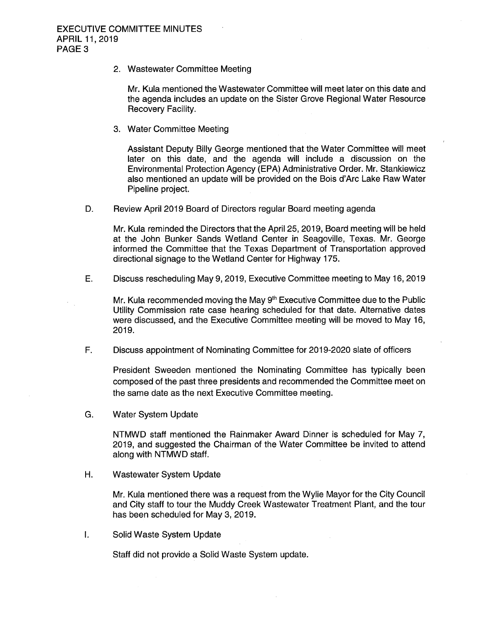2. Wastewater Committee Meeting

Mr. Kula mentioned the Wastewater Committee will meet later on this date and the agenda includes an update on the Sister Grove Regional Water Resource Recovery Facility.

3. Water Committee Meeting

Assistant Deputy Billy George mentioned that the Water Committee will meet later on this date, and the agenda will include a discussion on the Environmental Protection Agency( EPA) Administrative Order. Mr. Stankiewicz also mentioned an update will be provided on the Bois d' Arc Lake Raw Water Pipeline project.

D. Review April 2019 Board of Directors regular Board meeting agenda

Mr. Kula reminded the Directors that the April 25, 2019, Board meeting will be held at the John Bunker Sands Wetland Center in Seagoville, Texas. Mr. George informed the Committee that the Texas Department of Transportation approved directional signage to the Wetland Center for Highway 175.

E. Discuss rescheduling May 9, 2019, Executive Committee meeting to May 16, 2019

Mr. Kula recommended moving the May 9<sup>th</sup> Executive Committee due to the Public Utility Commission rate case hearing scheduled for that date. Alternative dates were discussed, and the Executive Committee meeting will be moved to May 16, 2019.

F. Discuss appointment of Nominating Committee for 2019-2020 slate of officers

President Sweeden mentioned the Nominating Committee has typically been composed of the past three presidents and recommended the Committee meet on the same date as the next Executive Committee meeting.

G. Water System Update

NTMWD staff mentioned the Rainmaker Award Dinner is scheduled for May 7, 2019, and suggested the Chairman of the Water Committee be invited to attend along with NTMWD staff.

H. Wastewater System Update

Mr. Kula mentioned there was a request from the Wylie Mayor for the City Council and City staff to tour the Muddy Creek Wastewater Treatment Plant, and the tour has been scheduled for May 3, 2019.

Ī. Solid Waste System Update

Staff did not provide a Solid Waste System update.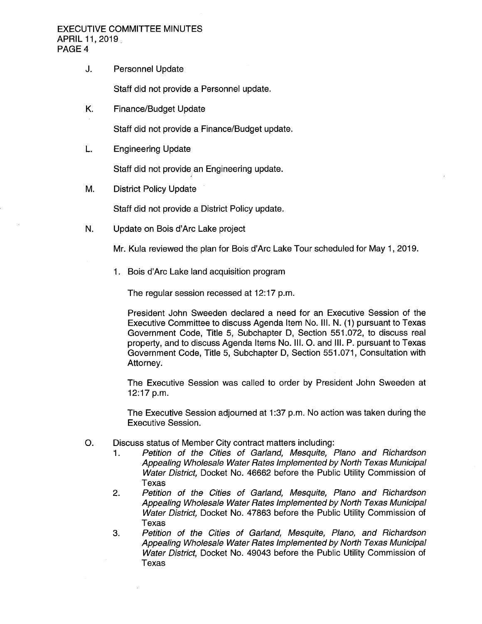#### EXECUTIVE COMMITTEE MINUTES APRIL 11, 2019 PAGE 4

## J. Personnel Update

Staff did not provide a Personnel update.

K. Finance/Budget Update

Staff did not provide a Finance/ Budget update.

L. Engineering Update

Staff did not provide an Engineering update.

M. District Policy Update

Staff did not provide a District Policy update.

N. Update on Bois d'Arc Lake project

Mr. Kula reviewed the plan for Bois d' Arc Lake Tour scheduled for May 1, 2019.

1. Bois d'Arc Lake land acquisition program

The regular session recessed at 12:17 p.m.

President John Sweeden declared a need for an Executive Session of the Executive Committee to discuss Agenda Item No. III. N. ( 1) pursuant to Texas Government Code, Title 5, Subchapter D, Section 551. 072, to discuss real property, and to discuss Agenda Items No. III. O. and III. P. pursuant to Texas Government Code, Title 5, Subchapter D, Section 551. 071, Consultation with Attorney.

The Executive Session was called to order by President John Sweeden at  $12:17$  p.m.

The Executive Session adjourned at 1:37 p.m. No action was taken during the Executive Session.

- O. Discuss status of Member City contract matters including:<br>1. Petition of the Cities of Garland, Mesquite, I
	- Petition of the Cities of Garland, Mesquite, Plano and Richardson Appealing Wholesale Water Rates Implemented by North Texas Municipal Water District, Docket No. 46662 before the Public Utility Commission of Texas
	- 2. Petition of the Cities of Garland, Mesquite, Plano and Richardson Appealing Wholesale Water Rates Implemented by North Texas Municipal Water District, Docket No. 47863 before the Public Utility Commission of Texas
	- 3. Petition of the Cities of Garland, Mesquite, Plano, and Richardson Appealing Wholesale Water Rates Implemented by North Texas Municipal Water District, Docket No. 49043 before the Public Utility Commission of Texas